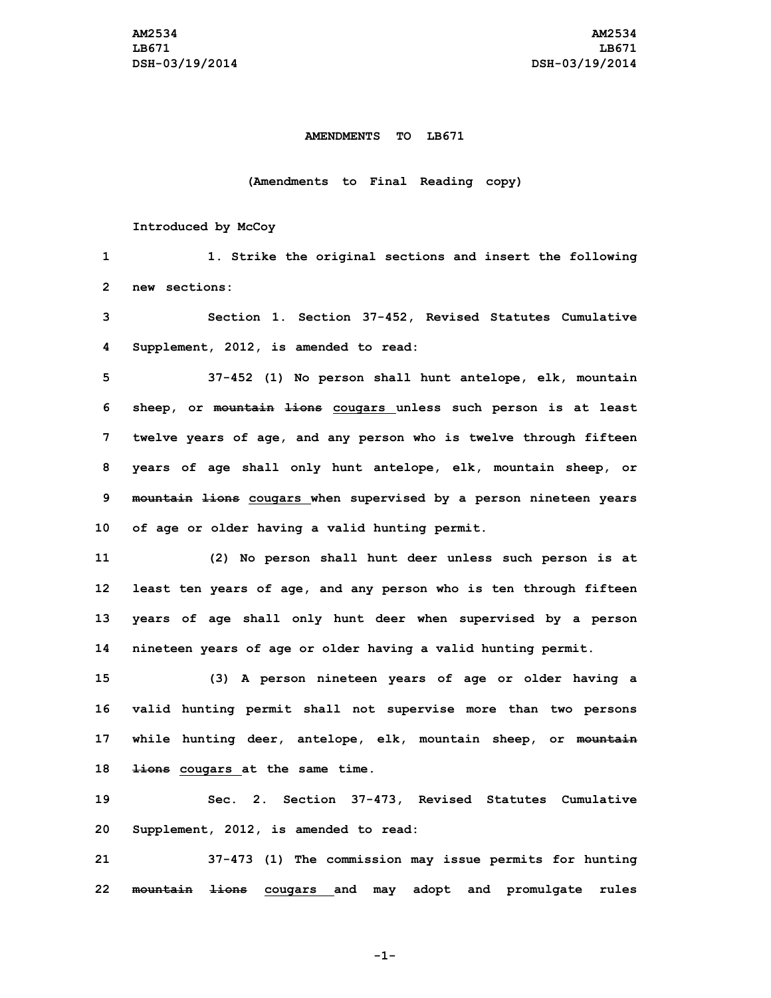## **AMENDMENTS TO LB671**

## **(Amendments to Final Reading copy)**

## **Introduced by McCoy**

| 1              | 1. Strike the original sections and insert the following          |
|----------------|-------------------------------------------------------------------|
| $\overline{2}$ | new sections:                                                     |
| 3              | Section 1. Section 37-452, Revised Statutes Cumulative            |
| 4              | Supplement, 2012, is amended to read:                             |
| 5              | 37-452 (1) No person shall hunt antelope, elk, mountain           |
| 6              | sheep, or mountain lions cougars unless such person is at least   |
| 7              | twelve years of age, and any person who is twelve through fifteen |
| 8              | years of age shall only hunt antelope, elk, mountain sheep, or    |
| 9              | mountain lions cougars when supervised by a person nineteen years |
| 10             | of age or older having a valid hunting permit.                    |
| 11             | (2) No person shall hunt deer unless such person is at            |
| 12             | least ten years of age, and any person who is ten through fifteen |
| 13             | years of age shall only hunt deer when supervised by a person     |
| 14             | nineteen years of age or older having a valid hunting permit.     |
| 15             | (3) A person nineteen years of age or older having a              |
| 16             | valid hunting permit shall not supervise more than two persons    |
| 17             | while hunting deer, antelope, elk, mountain sheep, or mountain    |
| 18             | lions cougars at the same time.                                   |
| 19             | Sec. 2. Section 37-473, Revised Statutes Cumulative               |
| 20             | Supplement, 2012, is amended to read:                             |

**21 37-473 (1) The commission may issue permits for hunting 22 mountain lions cougars and may adopt and promulgate rules**

**-1-**